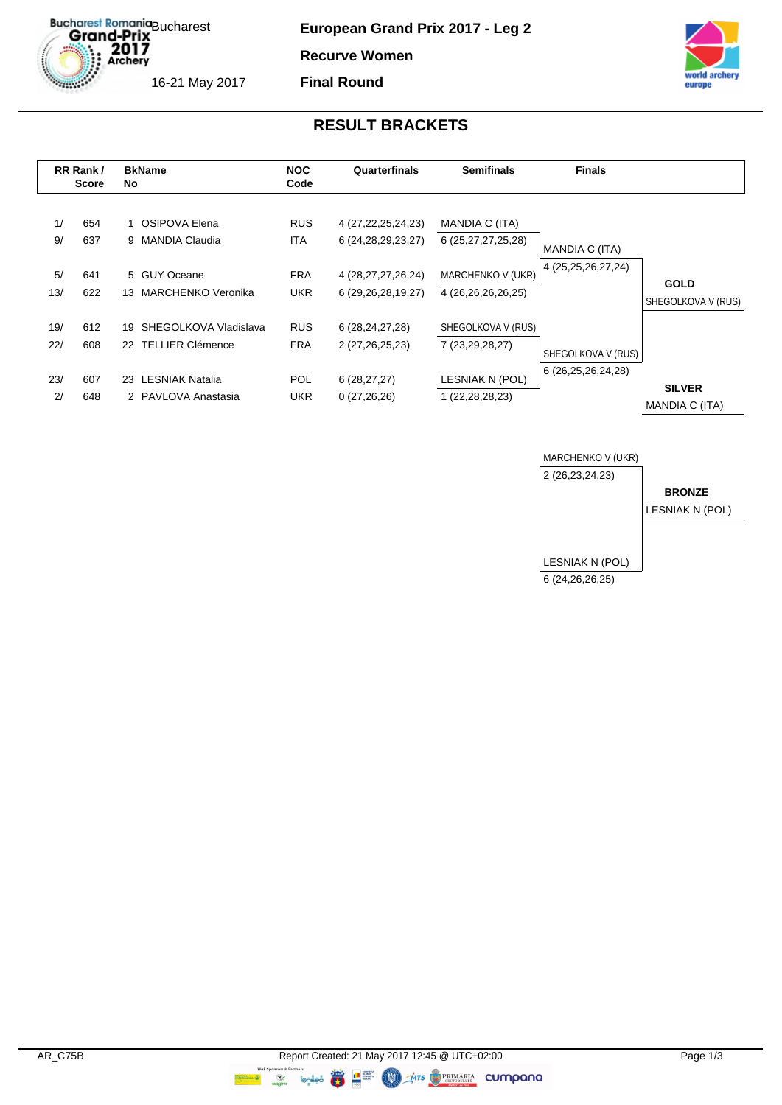Bucharest Romania<br>Grand-Prix<br>2017<br>Archery 16-21 May 2017

**European Grand Prix 2017 - Leg 2**

**Recurve Women**

**Final Round**



### **RESULT BRACKETS**

|            | RR Rank /<br><b>Score</b> |    | <b>BkName</b><br>No                             |                          | Quarterfinals                                    | <b>Semifinals</b>                       | <b>Finals</b>                            |                                   |
|------------|---------------------------|----|-------------------------------------------------|--------------------------|--------------------------------------------------|-----------------------------------------|------------------------------------------|-----------------------------------|
| 1/<br>9/   | 654<br>637                |    | 1 OSIPOVA Elena<br>9 MANDIA Claudia             | <b>RUS</b><br><b>ITA</b> | 4 (27, 22, 25, 24, 23)<br>6 (24, 28, 29, 23, 27) | MANDIA C (ITA)<br>6 (25,27,27,25,28)    | MANDIA C (ITA)                           |                                   |
| 5/<br>13/  | 641<br>622                | 13 | 5 GUY Oceane<br>MARCHENKO Veronika              | <b>FRA</b><br><b>UKR</b> | 4 (28, 27, 27, 26, 24)<br>6 (29, 26, 28, 19, 27) | MARCHENKO V (UKR)<br>4 (26,26,26,26,25) | 4 (25, 25, 26, 27, 24)                   | <b>GOLD</b><br>SHEGOLKOVA V (RUS) |
| 19/<br>22/ | 612<br>608                |    | 19 SHEGOLKOVA Vladislava<br>22 TELLIER Clémence | <b>RUS</b><br><b>FRA</b> | 6 (28, 24, 27, 28)<br>2 (27, 26, 25, 23)         | SHEGOLKOVA V (RUS)<br>7 (23,29,28,27)   |                                          |                                   |
| 23/<br>2/  | 607<br>648                |    | 23 LESNIAK Natalia<br>2 PAVLOVA Anastasia       | <b>POL</b><br><b>UKR</b> | 6(28, 27, 27)<br>0(27,26,26)                     | LESNIAK N (POL)<br>1 (22, 28, 28, 23)   | SHEGOLKOVA V (RUS)<br>6 (26,25,26,24,28) | <b>SILVER</b><br>MANDIA C (ITA)   |

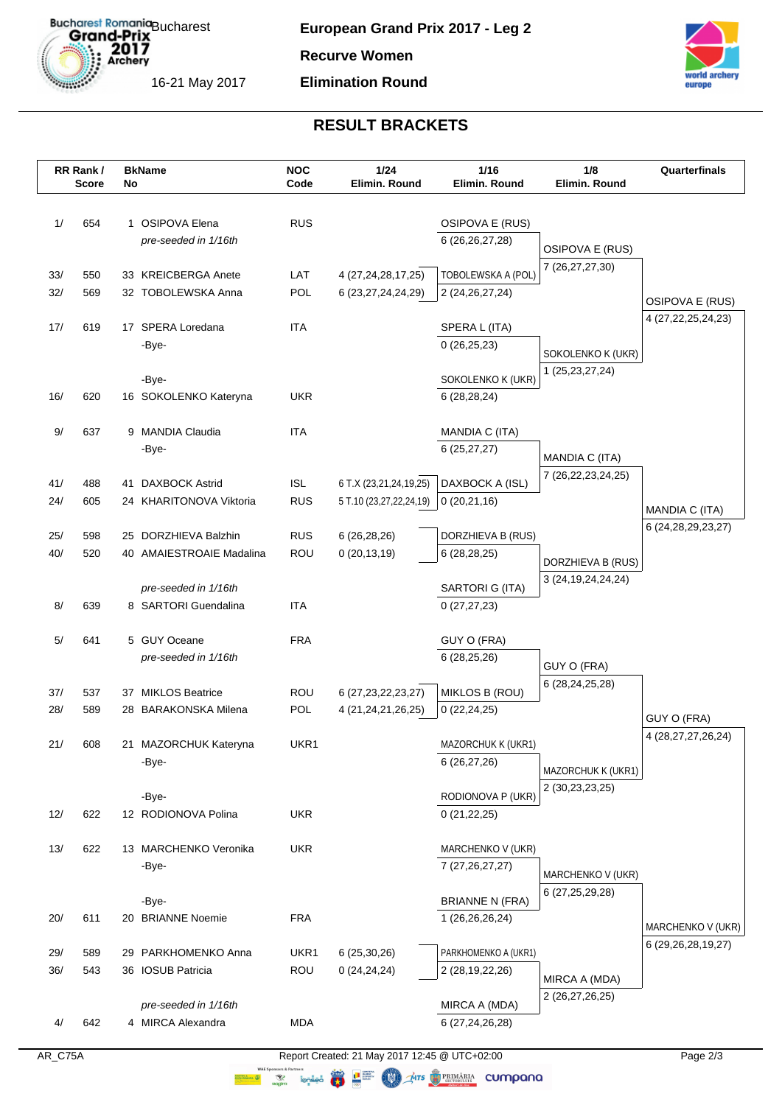

**Recurve Women**

### **Elimination Round**



# **RESULT BRACKETS**

|     | RR Rank/<br><b>Score</b> | No | <b>BkName</b>                  | <b>NOC</b><br>Code | 1/24<br>Elimin. Round   | 1/16<br>Elimin. Round              | 1/8<br>Elimin. Round   | Quarterfinals          |
|-----|--------------------------|----|--------------------------------|--------------------|-------------------------|------------------------------------|------------------------|------------------------|
| 1/  | 654                      |    | 1 OSIPOVA Elena                | <b>RUS</b>         |                         |                                    |                        |                        |
|     |                          |    |                                |                    |                         | OSIPOVA E (RUS)                    |                        |                        |
|     |                          |    | pre-seeded in 1/16th           |                    |                         | 6 (26,26,27,28)                    | <b>OSIPOVA E (RUS)</b> |                        |
| 33/ | 550                      |    | 33 KREICBERGA Anete            | LAT                | 4 (27, 24, 28, 17, 25)  | TOBOLEWSKA A (POL)                 | 7 (26,27,27,30)        |                        |
| 32/ | 569                      |    | 32 TOBOLEWSKA Anna             | POL                | 6 (23, 27, 24, 24, 29)  | 2 (24, 26, 27, 24)                 |                        |                        |
|     |                          |    |                                |                    |                         |                                    |                        | OSIPOVA E (RUS)        |
| 17/ | 619                      |    | 17 SPERA Loredana              | <b>ITA</b>         |                         | SPERA L (ITA)                      |                        | 4 (27, 22, 25, 24, 23) |
|     |                          |    | -Bye-                          |                    |                         | 0(26,25,23)                        | SOKOLENKO K (UKR)      |                        |
|     |                          |    |                                |                    |                         |                                    | 1 (25, 23, 27, 24)     |                        |
|     |                          |    | -Bye-                          |                    |                         | SOKOLENKO K (UKR)                  |                        |                        |
| 16/ | 620                      |    | 16 SOKOLENKO Kateryna          | <b>UKR</b>         |                         | 6(28, 28, 24)                      |                        |                        |
| 9/  | 637                      |    | 9 MANDIA Claudia               | <b>ITA</b>         |                         | MANDIA C (ITA)                     |                        |                        |
|     |                          |    | -Bye-                          |                    |                         | 6(25, 27, 27)                      |                        |                        |
|     |                          |    |                                |                    |                         |                                    | MANDIA C (ITA)         |                        |
| 41/ | 488                      |    | 41 DAXBOCK Astrid              | <b>ISL</b>         | 6 T.X (23,21,24,19,25)  | DAXBOCK A (ISL)                    | 7 (26,22,23,24,25)     |                        |
| 24/ | 605                      |    | 24 KHARITONOVA Viktoria        | <b>RUS</b>         | 5 T.10 (23,27,22,24,19) | 0(20,21,16)                        |                        | <b>MANDIA C (ITA)</b>  |
|     |                          |    |                                |                    |                         |                                    |                        | 6 (24, 28, 29, 23, 27) |
| 25/ | 598                      |    | 25 DORZHIEVA Balzhin           | <b>RUS</b>         | 6 (26,28,26)            | DORZHIEVA B (RUS)                  |                        |                        |
| 40/ | 520                      |    | 40 AMAIESTROAIE Madalina       | ROU                | 0(20, 13, 19)           | 6(28, 28, 25)                      | DORZHIEVA B (RUS)      |                        |
|     |                          |    | pre-seeded in 1/16th           |                    |                         | SARTORI G (ITA)                    | 3 (24, 19, 24, 24, 24) |                        |
| 8/  | 639                      |    | 8 SARTORI Guendalina           | <b>ITA</b>         |                         | 0(27, 27, 23)                      |                        |                        |
|     |                          |    |                                |                    |                         |                                    |                        |                        |
| 5/  | 641                      |    | 5 GUY Oceane                   | <b>FRA</b>         |                         | GUY O (FRA)                        |                        |                        |
|     |                          |    | pre-seeded in 1/16th           |                    |                         | 6 (28,25,26)                       | GUY O (FRA)            |                        |
|     |                          |    |                                |                    |                         |                                    | 6 (28, 24, 25, 28)     |                        |
| 37/ | 537                      | 37 | <b>MIKLOS Beatrice</b>         | <b>ROU</b>         | 6 (27, 23, 22, 23, 27)  | MIKLOS B (ROU)                     |                        |                        |
| 28/ | 589                      |    | 28 BARAKONSKA Milena           | POL                | 4 (21,24,21,26,25)      | 0(22, 24, 25)                      |                        | GUY O (FRA)            |
|     |                          |    |                                |                    |                         |                                    |                        | 4 (28,27,27,26,24)     |
| 21/ | 608                      |    | 21 MAZORCHUK Kateryna<br>-Bye- | UKR1               |                         | MAZORCHUK K (UKR1)<br>6 (26,27,26) |                        |                        |
|     |                          |    |                                |                    |                         |                                    | MAZORCHUK K (UKR1)     |                        |
|     |                          |    | -Bye-                          |                    |                         | RODIONOVA P (UKR)                  | 2 (30,23,23,25)        |                        |
| 12/ | 622                      |    | 12 RODIONOVA Polina            | <b>UKR</b>         |                         | 0(21, 22, 25)                      |                        |                        |
|     |                          |    |                                |                    |                         |                                    |                        |                        |
| 13/ | 622                      |    | 13 MARCHENKO Veronika          | <b>UKR</b>         |                         | MARCHENKO V (UKR)                  |                        |                        |
|     |                          |    | -Bye-                          |                    |                         | 7 (27, 26, 27, 27)                 | MARCHENKO V (UKR)      |                        |
|     |                          |    |                                |                    |                         |                                    | 6 (27, 25, 29, 28)     |                        |
|     |                          |    | -Bye-                          |                    |                         | <b>BRIANNE N (FRA)</b>             |                        |                        |
| 20/ | 611                      |    | 20 BRIANNE Noemie              | <b>FRA</b>         |                         | 1 (26,26,26,24)                    |                        | MARCHENKO V (UKR)      |
| 29/ | 589                      |    | 29 PARKHOMENKO Anna            | UKR1               | 6(25,30,26)             | PARKHOMENKO A (UKR1)               |                        | 6 (29,26,28,19,27)     |
| 36/ | 543                      |    | 36 IOSUB Patricia              | ROU                | 0(24, 24, 24)           | 2 (28,19,22,26)                    |                        |                        |
|     |                          |    |                                |                    |                         |                                    | MIRCA A (MDA)          |                        |
|     |                          |    | pre-seeded in 1/16th           |                    |                         | MIRCA A (MDA)                      | 2 (26,27,26,25)        |                        |
| 4/  | 642                      |    | 4 MIRCA Alexandra              | <b>MDA</b>         |                         | 6 (27,24,26,28)                    |                        |                        |
|     |                          |    |                                |                    |                         |                                    |                        |                        |

AR\_C75A Report Created: 21 May 2017 12:45 @ UTC+02:00